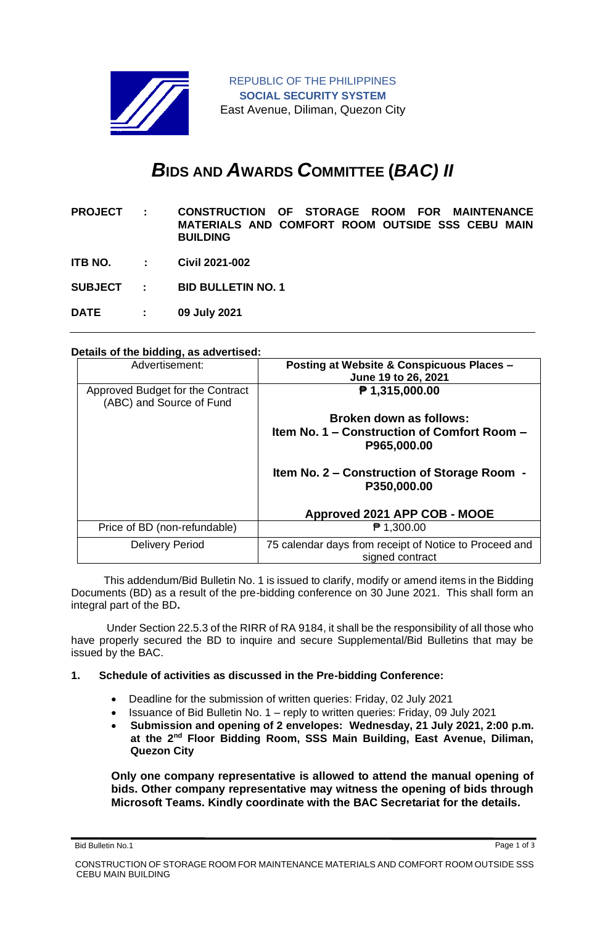

# *B***IDS AND** *A***WARDS** *C***OMMITTEE (***BAC) II*

| <b>PROJECT:</b> | CONSTRUCTION OF STORAGE ROOM FOR MAINTENANCE     |  |  |  |  |  |
|-----------------|--------------------------------------------------|--|--|--|--|--|
|                 | MATERIALS AND COMFORT ROOM OUTSIDE SSS CEBU MAIN |  |  |  |  |  |
|                 | <b>BUILDING</b>                                  |  |  |  |  |  |

- **ITB NO. : Civil 2021-002**
- **SUBJECT : BID BULLETIN NO. 1**
- **DATE : 09 July 2021**

### **Details of the bidding, as advertised:**

| Advertisement:                                               | Posting at Website & Conspicuous Places -<br>June 19 to 26, 2021          |  |  |  |  |
|--------------------------------------------------------------|---------------------------------------------------------------------------|--|--|--|--|
| Approved Budget for the Contract<br>(ABC) and Source of Fund | $P$ 1,315,000.00                                                          |  |  |  |  |
|                                                              | Broken down as follows:                                                   |  |  |  |  |
|                                                              | Item No. 1 – Construction of Comfort Room –<br>P965,000.00                |  |  |  |  |
|                                                              | Item No. 2 – Construction of Storage Room -<br>P350,000.00                |  |  |  |  |
|                                                              | Approved 2021 APP COB - MOOE                                              |  |  |  |  |
| Price of BD (non-refundable)                                 | ₹ 1,300.00                                                                |  |  |  |  |
| <b>Delivery Period</b>                                       | 75 calendar days from receipt of Notice to Proceed and<br>signed contract |  |  |  |  |

 This addendum/Bid Bulletin No. 1 is issued to clarify, modify or amend items in the Bidding Documents (BD) as a result of the pre-bidding conference on 30 June 2021. This shall form an integral part of the BD**.**

Under Section 22.5.3 of the RIRR of RA 9184, it shall be the responsibility of all those who have properly secured the BD to inquire and secure Supplemental/Bid Bulletins that may be issued by the BAC.

### **1. Schedule of activities as discussed in the Pre-bidding Conference:**

- Deadline for the submission of written queries: Friday, 02 July 2021
- Issuance of Bid Bulletin No. 1 reply to written queries: Friday, 09 July 2021
- **Submission and opening of 2 envelopes: Wednesday, 21 July 2021, 2:00 p.m. at the 2nd Floor Bidding Room, SSS Main Building, East Avenue, Diliman, Quezon City**

**Only one company representative is allowed to attend the manual opening of bids. Other company representative may witness the opening of bids through Microsoft Teams. Kindly coordinate with the BAC Secretariat for the details.**

Bid Bulletin No.1 Page 1 of 3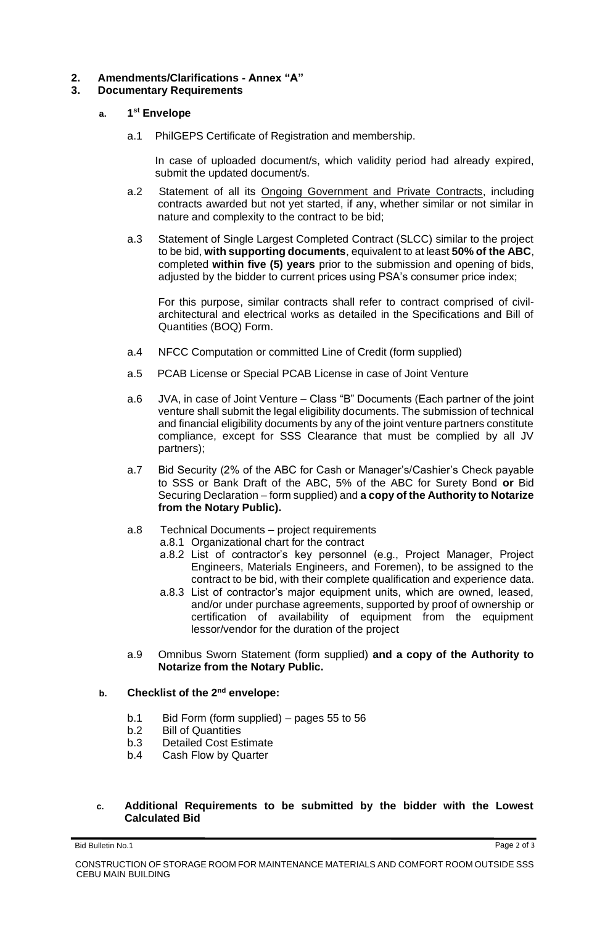# **2. Amendments/Clarifications - Annex "A"**

## **3. Documentary Requirements**

#### **a. 1 st Envelope**

a.1 PhilGEPS Certificate of Registration and membership.

In case of uploaded document/s, which validity period had already expired, submit the updated document/s.

- a.2 Statement of all its Ongoing Government and Private Contracts, including contracts awarded but not yet started, if any, whether similar or not similar in nature and complexity to the contract to be bid;
- a.3 Statement of Single Largest Completed Contract (SLCC) similar to the project to be bid, **with supporting documents**, equivalent to at least **50% of the ABC**, completed **within five (5) years** prior to the submission and opening of bids, adjusted by the bidder to current prices using PSA's consumer price index;

For this purpose, similar contracts shall refer to contract comprised of civilarchitectural and electrical works as detailed in the Specifications and Bill of Quantities (BOQ) Form.

- a.4 NFCC Computation or committed Line of Credit (form supplied)
- a.5 PCAB License or Special PCAB License in case of Joint Venture
- a.6 JVA, in case of Joint Venture Class "B" Documents (Each partner of the joint venture shall submit the legal eligibility documents. The submission of technical and financial eligibility documents by any of the joint venture partners constitute compliance, except for SSS Clearance that must be complied by all JV partners);
- a.7 Bid Security (2% of the ABC for Cash or Manager's/Cashier's Check payable to SSS or Bank Draft of the ABC, 5% of the ABC for Surety Bond **or** Bid Securing Declaration – form supplied) and **a copy of the Authority to Notarize from the Notary Public).**
- a.8 Technical Documents project requirements
	- a.8.1 Organizational chart for the contract
	- a.8.2 List of contractor's key personnel (e.g., Project Manager, Project Engineers, Materials Engineers, and Foremen), to be assigned to the contract to be bid, with their complete qualification and experience data.
	- a.8.3 List of contractor's major equipment units, which are owned, leased, and/or under purchase agreements, supported by proof of ownership or certification of availability of equipment from the equipment lessor/vendor for the duration of the project
- a.9 Omnibus Sworn Statement (form supplied) **and a copy of the Authority to Notarize from the Notary Public.**

# **b. Checklist of the 2nd envelope:**

- b.1 Bid Form (form supplied) pages 55 to 56
- b.2 Bill of Quantities
- b.3 Detailed Cost Estimate
- b.4 Cash Flow by Quarter

## **c. Additional Requirements to be submitted by the bidder with the Lowest Calculated Bid**

Bid Bulletin No.1 Page 2 of 3